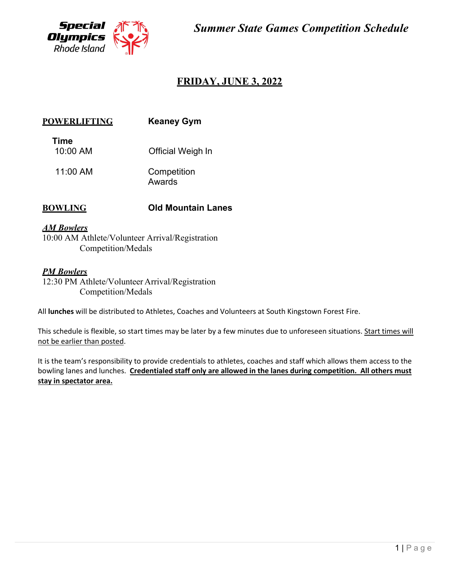

# **FRIDAY, JUNE 3, 2022**

| <b>POWERLIFTING</b> | <b>Keaney Gym</b>     |
|---------------------|-----------------------|
| Time<br>10:00 AM    | Official Weigh In     |
| 11:00 AM            | Competition<br>Awards |

#### **BOWLING Old Mountain Lanes**

#### *AM Bowlers*

10:00 AM Athlete/Volunteer Arrival/Registration Competition/Medals

#### *PM Bowlers*

12:30 PM Athlete/Volunteer Arrival/Registration Competition/Medals

All **lunches** will be distributed to Athletes, Coaches and Volunteers at South Kingstown Forest Fire.

This schedule is flexible, so start times may be later by a few minutes due to unforeseen situations. Start times will not be earlier than posted.

It is the team's responsibility to provide credentials to athletes, coaches and staff which allows them access to the bowling lanes and lunches. **Credentialed staff only are allowed in the lanes during competition. All others must stay in spectator area.**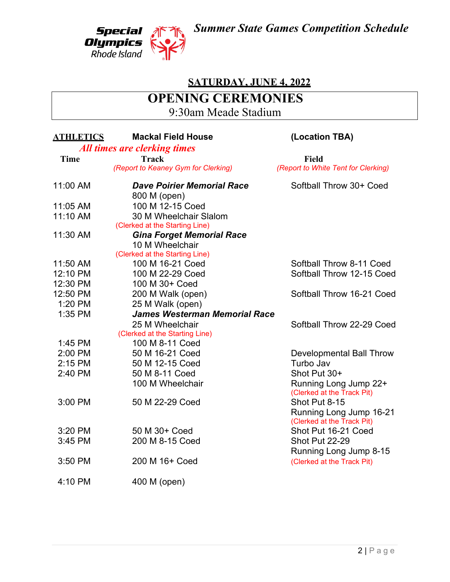



# **SATURDAY, JUNE 4, 2022**

# **OPENING CEREMONIES**

9:30am Meade Stadium

# **Mackal Field House** *(Location TBA) All times are clerking times* **Time** *Track**Track**Track**(Report to Keaney Gym for Clerking)**(Report to White Tent for Clerking***)** 11:00 AM *Dave Poirier Memorial Race* Softball Throw 30+ Coed 800 M (open) 11:05 AM 100 M 12-15 Coed 11:10 AM 30 M Wheelchair Slalom<br>(Clerked at the Starting Line) 11:30 AM *Gina Forget Memorial Race* 10 M Wheelchair (Clerked at the Starting Line) 11:50 AM 100 M 16-21 Coed Softball Throw 8-11 Coed 12:10 PM 100 M 22-29 Coed Softball Throw 12-15 Coed 12:30 PM 100 M 30+ Coed 12:50 PM 200 M Walk (open) Softball Throw 16-21 Coed 1:20 PM 25 M Walk (open) 1:35 PM *James Westerman Memorial Race* 25 M Wheelchair Softball Throw 22-29 Coed<br>Clerked at the Starting Line) 1:45 PM 100 M 8-11 Coed 2:00 PM 50 M 16-21 Coed Developmental Ball Throw 2:15 PM 50 M 12-15 Coed Turbo Jav 2:40 PM 50 M 8-11 Coed Shot Put 30+ 100 M Wheelchair Running Long Jump 22+<br>(Clerked at the Track Pit) 3:00 PM 50 M 22-29 Coed Shot Put 8-15 Running Long Jump 16-21 (Clerked at the Track Pit) 3:20 PM 50 M 30+ Coed Shot Put 16-21 Coed 3:45 PM 200 M 8-15 Coed Shot Put 22-29 Running Long Jump 8-15 3:50 PM 200 M 16+ Coed (Clerked at the Track Pit) 4:10 PM 400 M (open) **ATHLETICS**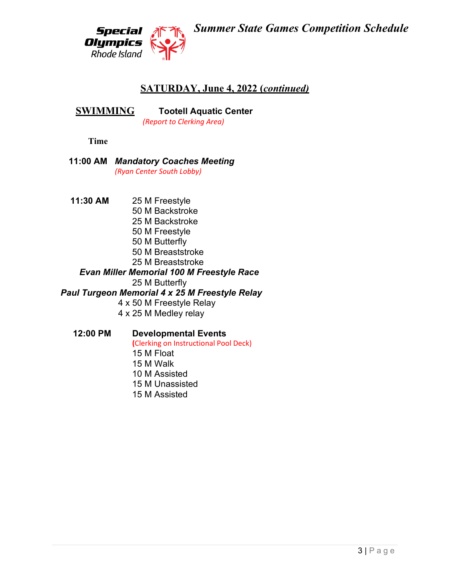



### **SATURDAY, June 4, 2022 (***continued)*

**SWIMMING Tootell Aquatic Center**

*(Report to Clerking Area)*

**Time**

 **11:00 AM** *Mandatory Coaches Meeting (Ryan Center South Lobby)*

- **11:30 AM** 25 M Freestyle
	- 50 M Backstroke
	- 25 M Backstroke
	- 50 M Freestyle
	- 50 M Butterfly
	- 50 M Breaststroke
	- 25 M Breaststroke

*Evan Miller Memorial 100 M Freestyle Race*

25 M Butterfly

*Paul Turgeon Memorial 4 x 25 M Freestyle Relay*

- 4 x 50 M Freestyle Relay
- 4 x 25 M Medley relay

#### **12:00 PM Developmental Events**

**(**Clerking on Instructional Pool Deck)

- 15 M Float
- 15 M Walk
- 10 M Assisted
- 15 M Unassisted
- 15 M Assisted